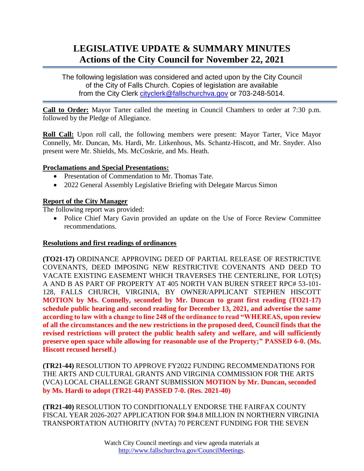# **LEGISLATIVE UPDATE & SUMMARY MINUTES Actions of the City Council for November 22, 2021**

The following legislation was considered and acted upon by the City Council of the City of Falls Church. Copies of legislation are available from the City Clerk [cityclerk@fallschurchva.gov](mailto:cityclerk@fallschurchva.gov) or 703-248-5014.

**Call to Order:** Mayor Tarter called the meeting in Council Chambers to order at 7:30 p.m. followed by the Pledge of Allegiance.

**Roll Call:** Upon roll call, the following members were present: Mayor Tarter, Vice Mayor Connelly, Mr. Duncan, Ms. Hardi, Mr. Litkenhous, Ms. Schantz-Hiscott, and Mr. Snyder. Also present were Mr. Shields, Ms. McCoskrie, and Ms. Heath.

### **Proclamations and Special Presentations:**

- Presentation of Commendation to Mr. Thomas Tate.
- 2022 General Assembly Legislative Briefing with Delegate Marcus Simon

### **Report of the City Manager**

The following report was provided:

• Police Chief Mary Gavin provided an update on the Use of Force Review Committee recommendations.

### **Resolutions and first readings of ordinances**

**(TO21-17)** ORDINANCE APPROVING DEED OF PARTIAL RELEASE OF RESTRICTIVE COVENANTS, DEED IMPOSING NEW RESTRICTIVE COVENANTS AND DEED TO VACATE EXISTING EASEMENT WHICH TRAVERSES THE CENTERLINE, FOR LOT(S) A AND B AS PART OF PROPERTY AT 405 NORTH VAN BUREN STREET RPC# 53-101- 128, FALLS CHURCH, VIRGINIA, BY OWNER/APPLICANT STEPHEN HISCOTT **MOTION by Ms. Connelly, seconded by Mr. Duncan to grant first reading (TO21-17) schedule public hearing and second reading for December 13, 2021, and advertise the same according to law with a change to line 248 of the ordinance to read "WHEREAS, upon review of all the circumstances and the new restrictions in the proposed deed, Council finds that the revised restrictions will protect the public health safety and welfare, and will sufficiently preserve open space while allowing for reasonable use of the Property;" PASSED 6-0. (Ms. Hiscott recused herself.)**

**(TR21-44)** RESOLUTION TO APPROVE FY2022 FUNDING RECOMMENDATIONS FOR THE ARTS AND CULTURAL GRANTS AND VIRGINIA COMMISSION FOR THE ARTS (VCA) LOCAL CHALLENGE GRANT SUBMISSION **MOTION by Mr. Duncan, seconded by Ms. Hardi to adopt (TR21-44) PASSED 7-0. (Res. 2021-40)**

**(TR21-40)** RESOLUTION TO CONDITIONALLY ENDORSE THE FAIRFAX COUNTY FISCAL YEAR 2026-2027 APPLICATION FOR \$94.8 MILLION IN NORTHERN VIRGINIA TRANSPORTATION AUTHORITY (NVTA) 70 PERCENT FUNDING FOR THE SEVEN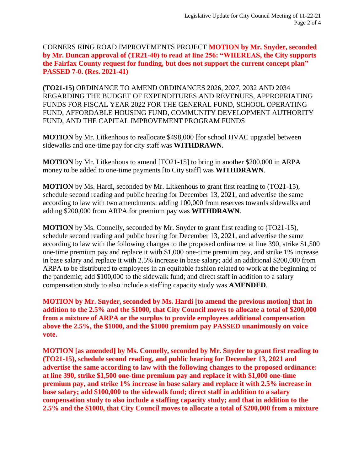CORNERS RING ROAD IMPROVEMENTS PROJECT **MOTION by Mr. Snyder, seconded by Mr. Duncan approval of (TR21-40) to read at line 256: "WHEREAS, the City supports the Fairfax County request for funding, but does not support the current concept plan" PASSED 7-0. (Res. 2021-41)**

**(TO21-15)** ORDINANCE TO AMEND ORDINANCES 2026, 2027, 2032 AND 2034 REGARDING THE BUDGET OF EXPENDITURES AND REVENUES, APPROPRIATING FUNDS FOR FISCAL YEAR 2022 FOR THE GENERAL FUND, SCHOOL OPERATING FUND, AFFORDABLE HOUSING FUND, COMMUNITY DEVELOPMENT AUTHORITY FUND, AND THE CAPITAL IMPROVEMENT PROGRAM FUNDS

**MOTION** by Mr. Litkenhous to reallocate \$498,000 [for school HVAC upgrade] between sidewalks and one-time pay for city staff was **WITHDRAWN.**

**MOTION** by Mr. Litkenhous to amend [TO21-15] to bring in another \$200,000 in ARPA money to be added to one-time payments [to City staff] was **WITHDRAWN**.

**MOTION** by Ms. Hardi, seconded by Mr. Litkenhous to grant first reading to (TO21-15), schedule second reading and public hearing for December 13, 2021, and advertise the same according to law with two amendments: adding 100,000 from reserves towards sidewalks and adding \$200,000 from ARPA for premium pay was **WITHDRAWN**.

**MOTION** by Ms. Connelly, seconded by Mr. Snyder to grant first reading to (TO21-15), schedule second reading and public hearing for December 13, 2021, and advertise the same according to law with the following changes to the proposed ordinance: at line 390, strike \$1,500 one-time premium pay and replace it with \$1,000 one-time premium pay, and strike 1% increase in base salary and replace it with 2.5% increase in base salary; add an additional \$200,000 from ARPA to be distributed to employees in an equitable fashion related to work at the beginning of the pandemic; add \$100,000 to the sidewalk fund; and direct staff in addition to a salary compensation study to also include a staffing capacity study was **AMENDED**.

**MOTION by Mr. Snyder, seconded by Ms. Hardi [to amend the previous motion] that in addition to the 2.5% and the \$1000, that City Council moves to allocate a total of \$200,000 from a mixture of ARPA or the surplus to provide employees additional compensation above the 2.5%, the \$1000, and the \$1000 premium pay PASSED unanimously on voice vote.**

**MOTION [as amended] by Ms. Connelly, seconded by Mr. Snyder to grant first reading to (TO21-15), schedule second reading, and public hearing for December 13, 2021 and advertise the same according to law with the following changes to the proposed ordinance: at line 390, strike \$1,500 one-time premium pay and replace it with \$1,000 one-time premium pay, and strike 1% increase in base salary and replace it with 2.5% increase in base salary; add \$100,000 to the sidewalk fund; direct staff in addition to a salary compensation study to also include a staffing capacity study; and that in addition to the 2.5% and the \$1000, that City Council moves to allocate a total of \$200,000 from a mixture**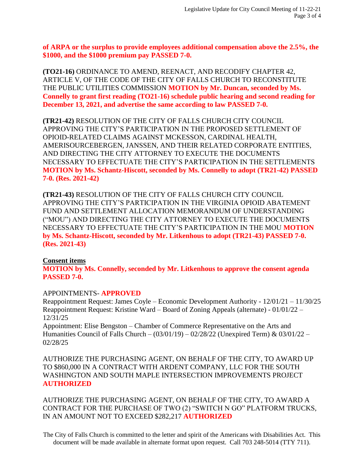**of ARPA or the surplus to provide employees additional compensation above the 2.5%, the \$1000, and the \$1000 premium pay PASSED 7-0.**

**(TO21-16)** ORDINANCE TO AMEND, REENACT, AND RECODIFY CHAPTER 42, ARTICLE V, OF THE CODE OF THE CITY OF FALLS CHURCH TO RECONSTITUTE THE PUBLIC UTILITIES COMMISSION **MOTION by Mr. Duncan, seconded by Ms. Connelly to grant first reading (TO21-16) schedule public hearing and second reading for December 13, 2021, and advertise the same according to law PASSED 7-0.**

**(TR21-42)** RESOLUTION OF THE CITY OF FALLS CHURCH CITY COUNCIL APPROVING THE CITY'S PARTICIPATION IN THE PROPOSED SETTLEMENT OF OPIOID-RELATED CLAIMS AGAINST MCKESSON, CARDINAL HEALTH, AMERISOURCEBERGEN, JANSSEN, AND THEIR RELATED CORPORATE ENTITIES, AND DIRECTING THE CITY ATTORNEY TO EXECUTE THE DOCUMENTS NECESSARY TO EFFECTUATE THE CITY'S PARTICIPATION IN THE SETTLEMENTS **MOTION by Ms. Schantz-Hiscott, seconded by Ms. Connelly to adopt (TR21-42) PASSED 7-0. (Res. 2021-42)**

**(TR21-43)** RESOLUTION OF THE CITY OF FALLS CHURCH CITY COUNCIL APPROVING THE CITY'S PARTICIPATION IN THE VIRGINIA OPIOID ABATEMENT FUND AND SETTLEMENT ALLOCATION MEMORANDUM OF UNDERSTANDING ("MOU") AND DIRECTING THE CITY ATTORNEY TO EXECUTE THE DOCUMENTS NECESSARY TO EFFECTUATE THE CITY'S PARTICIPATION IN THE MOU **MOTION by Ms. Schantz-Hiscott, seconded by Mr. Litkenhous to adopt (TR21-43) PASSED 7-0. (Res. 2021-43)**

### **Consent items**

**MOTION by Ms. Connelly, seconded by Mr. Litkenhous to approve the consent agenda PASSED 7-0.**

### APPOINTMENTS- **APPROVED**

Reappointment Request: James Coyle – Economic Development Authority - 12/01/21 – 11/30/25 Reappointment Request: Kristine Ward – Board of Zoning Appeals (alternate) - 01/01/22 – 12/31/25

Appointment: Elise Bengston – Chamber of Commerce Representative on the Arts and Humanities Council of Falls Church –  $(03/01/19) - 02/28/22$  (Unexpired Term) &  $03/01/22 -$ 02/28/25

AUTHORIZE THE PURCHASING AGENT, ON BEHALF OF THE CITY, TO AWARD UP TO \$860,000 IN A CONTRACT WITH ARDENT COMPANY, LLC FOR THE SOUTH WASHINGTON AND SOUTH MAPLE INTERSECTION IMPROVEMENTS PROJECT **AUTHORIZED**

AUTHORIZE THE PURCHASING AGENT, ON BEHALF OF THE CITY, TO AWARD A CONTRACT FOR THE PURCHASE OF TWO (2) "SWITCH N GO" PLATFORM TRUCKS, IN AN AMOUNT NOT TO EXCEED \$282,217 **AUTHORIZED**

The City of Falls Church is committed to the letter and spirit of the Americans with Disabilities Act. This document will be made available in alternate format upon request. Call 703 248-5014 (TTY 711).